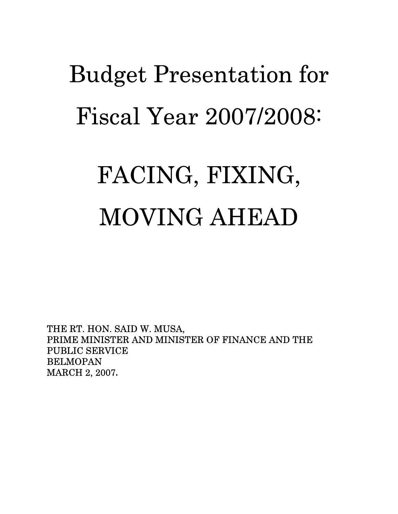# Budget Presentation for Fiscal Year 2007/2008:

## FACING, FIXING, MOVING AHEAD

THE RT. HON. SAID W. MUSA, PRIME MINISTER AND MINISTER OF FINANCE AND THE PUBLIC SERVICE BELMOPAN MARCH 2, 2007**.**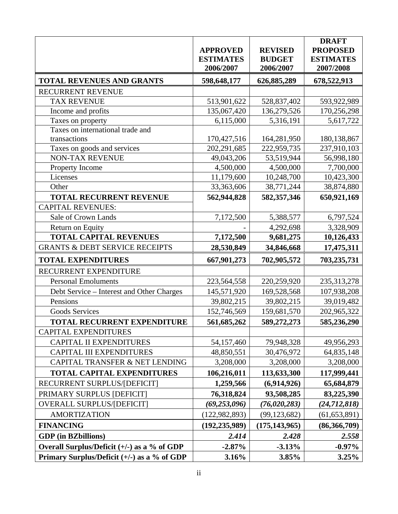|                                             | <b>APPROVED</b><br><b>ESTIMATES</b><br>2006/2007 | <b>REVISED</b><br><b>BUDGET</b><br>2006/2007 | <b>DRAFT</b><br><b>PROPOSED</b><br><b>ESTIMATES</b><br>2007/2008 |
|---------------------------------------------|--------------------------------------------------|----------------------------------------------|------------------------------------------------------------------|
| TOTAL REVENUES AND GRANTS                   | 598,648,177                                      | 626,885,289                                  | 678,522,913                                                      |
| RECURRENT REVENUE                           |                                                  |                                              |                                                                  |
| <b>TAX REVENUE</b>                          | 513,901,622                                      | 528,837,402                                  | 593,922,989                                                      |
| Income and profits                          | 135,067,420                                      | 136,279,526                                  | 170,256,298                                                      |
| Taxes on property                           | 6,115,000                                        | 5,316,191                                    | 5,617,722                                                        |
| Taxes on international trade and            |                                                  |                                              |                                                                  |
| transactions                                | 170,427,516                                      | 164,281,950                                  | 180, 138, 867                                                    |
| Taxes on goods and services                 | 202,291,685                                      | 222,959,735                                  | 237,910,103                                                      |
| <b>NON-TAX REVENUE</b>                      | 49,043,206                                       | 53,519,944                                   | 56,998,180                                                       |
| Property Income                             | 4,500,000                                        | 4,500,000                                    | 7,700,000                                                        |
| Licenses                                    | 11,179,600                                       | 10,248,700                                   | 10,423,300                                                       |
| Other                                       | 33,363,606                                       | 38,771,244                                   | 38,874,880                                                       |
| <b>TOTAL RECURRENT REVENUE</b>              | 562,944,828                                      | 582,357,346                                  | 650,921,169                                                      |
| <b>CAPITAL REVENUES:</b>                    |                                                  |                                              |                                                                  |
| Sale of Crown Lands                         | 7,172,500                                        | 5,388,577                                    | 6,797,524                                                        |
| Return on Equity                            |                                                  | 4,292,698                                    | 3,328,909                                                        |
| <b>TOTAL CAPITAL REVENUES</b>               | 7,172,500                                        | 9,681,275                                    | 10,126,433                                                       |
| <b>GRANTS &amp; DEBT SERVICE RECEIPTS</b>   | 28,530,849                                       | 34,846,668                                   | 17,475,311                                                       |
| <b>TOTAL EXPENDITURES</b>                   | 667,901,273                                      | 702,905,572                                  | 703,235,731                                                      |
| RECURRENT EXPENDITURE                       |                                                  |                                              |                                                                  |
| <b>Personal Emoluments</b>                  | 223,564,558                                      | 220,259,920                                  | 235, 313, 278                                                    |
| Debt Service – Interest and Other Charges   | 145,571,920                                      | 169,528,568                                  | 107,938,208                                                      |
| Pensions                                    | 39,802,215                                       | 39,802,215                                   | 39,019,482                                                       |
| <b>Goods Services</b>                       | 152,746,569                                      | 159,681,570                                  | 202,965,322                                                      |
| TOTAL RECURRENT EXPENDITURE                 | 561,685,262                                      | 589,272,273                                  | 585,236,290                                                      |
| <b>CAPITAL EXPENDITURES</b>                 |                                                  |                                              |                                                                  |
| <b>CAPITAL II EXPENDITURES</b>              | 54,157,460                                       | 79,948,328                                   | 49,956,293                                                       |
| <b>CAPITAL III EXPENDITURES</b>             | 48,850,551                                       | 30,476,972                                   | 64,835,148                                                       |
| CAPITAL TRANSFER & NET LENDING              | 3,208,000                                        | 3,208,000                                    | 3,208,000                                                        |
| <b>TOTAL CAPITAL EXPENDITURES</b>           | 106,216,011                                      | 113,633,300                                  | 117,999,441                                                      |
| RECURRENT SURPLUS/[DEFICIT]                 | 1,259,566                                        | (6,914,926)                                  | 65,684,879                                                       |
| PRIMARY SURPLUS [DEFICIT]                   | 76,318,824                                       | 93,508,285                                   | 83,225,390                                                       |
| <b>OVERALL SURPLUS/[DEFICIT]</b>            | (69, 253, 096)                                   | (76, 020, 283)                               | (24, 712, 818)                                                   |
| <b>AMORTIZATION</b>                         | (122, 982, 893)                                  | (99, 123, 682)                               | (61, 653, 891)                                                   |
| <b>FINANCING</b>                            | (192, 235, 989)                                  | (175, 143, 965)                              | (86,366,709)                                                     |
| <b>GDP</b> (in BZbillions)                  | 2.414                                            | 2.428                                        | 2.558                                                            |
| Overall Surplus/Deficit (+/-) as a % of GDP | $-2.87\%$                                        | $-3.13%$                                     | $-0.97\%$                                                        |
| Primary Surplus/Deficit (+/-) as a % of GDP | 3.16%                                            | 3.85%                                        | 3.25%                                                            |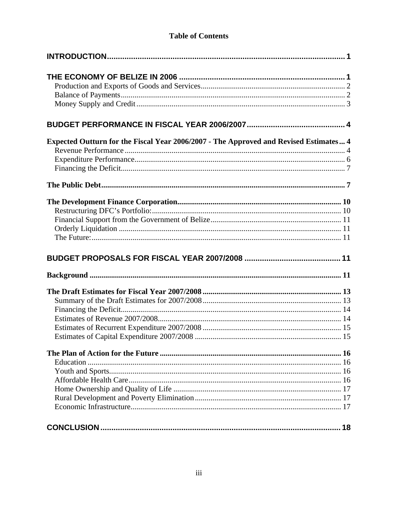## **Table of Contents**

| Expected Outturn for the Fiscal Year 2006/2007 - The Approved and Revised Estimates 4 |    |
|---------------------------------------------------------------------------------------|----|
|                                                                                       |    |
|                                                                                       |    |
|                                                                                       |    |
|                                                                                       |    |
|                                                                                       |    |
|                                                                                       |    |
|                                                                                       |    |
|                                                                                       |    |
|                                                                                       |    |
|                                                                                       |    |
|                                                                                       |    |
|                                                                                       |    |
|                                                                                       |    |
|                                                                                       |    |
|                                                                                       |    |
|                                                                                       |    |
|                                                                                       |    |
|                                                                                       |    |
|                                                                                       |    |
|                                                                                       |    |
|                                                                                       |    |
|                                                                                       |    |
|                                                                                       |    |
|                                                                                       |    |
|                                                                                       |    |
|                                                                                       |    |
|                                                                                       | 18 |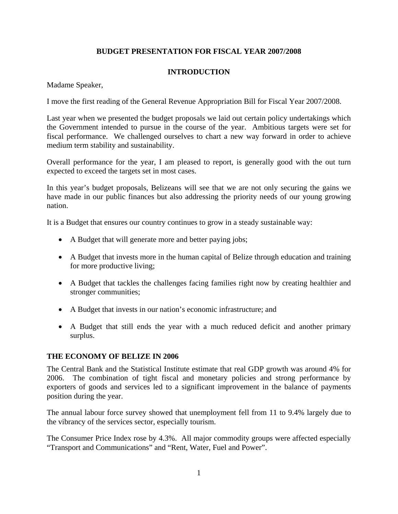## **BUDGET PRESENTATION FOR FISCAL YEAR 2007/2008**

## **INTRODUCTION**

Madame Speaker,

I move the first reading of the General Revenue Appropriation Bill for Fiscal Year 2007/2008.

Last year when we presented the budget proposals we laid out certain policy undertakings which the Government intended to pursue in the course of the year. Ambitious targets were set for fiscal performance. We challenged ourselves to chart a new way forward in order to achieve medium term stability and sustainability.

Overall performance for the year, I am pleased to report, is generally good with the out turn expected to exceed the targets set in most cases.

In this year's budget proposals, Belizeans will see that we are not only securing the gains we have made in our public finances but also addressing the priority needs of our young growing nation.

It is a Budget that ensures our country continues to grow in a steady sustainable way:

- A Budget that will generate more and better paying jobs;
- A Budget that invests more in the human capital of Belize through education and training for more productive living;
- A Budget that tackles the challenges facing families right now by creating healthier and stronger communities;
- A Budget that invests in our nation's economic infrastructure; and
- A Budget that still ends the year with a much reduced deficit and another primary surplus.

#### **THE ECONOMY OF BELIZE IN 2006**

The Central Bank and the Statistical Institute estimate that real GDP growth was around 4% for 2006. The combination of tight fiscal and monetary policies and strong performance by exporters of goods and services led to a significant improvement in the balance of payments position during the year.

The annual labour force survey showed that unemployment fell from 11 to 9.4% largely due to the vibrancy of the services sector, especially tourism.

The Consumer Price Index rose by 4.3%. All major commodity groups were affected especially "Transport and Communications" and "Rent, Water, Fuel and Power".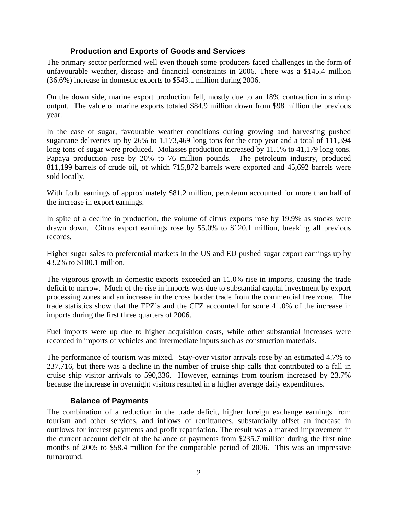## **Production and Exports of Goods and Services**

The primary sector performed well even though some producers faced challenges in the form of unfavourable weather, disease and financial constraints in 2006. There was a \$145.4 million (36.6%) increase in domestic exports to \$543.1 million during 2006.

On the down side, marine export production fell, mostly due to an 18% contraction in shrimp output. The value of marine exports totaled \$84.9 million down from \$98 million the previous year.

In the case of sugar, favourable weather conditions during growing and harvesting pushed sugarcane deliveries up by 26% to 1,173,469 long tons for the crop year and a total of 111,394 long tons of sugar were produced. Molasses production increased by 11.1% to 41,179 long tons. Papaya production rose by 20% to 76 million pounds. The petroleum industry, produced 811,199 barrels of crude oil, of which 715,872 barrels were exported and 45,692 barrels were sold locally.

With f.o.b. earnings of approximately \$81.2 million, petroleum accounted for more than half of the increase in export earnings.

In spite of a decline in production, the volume of citrus exports rose by 19.9% as stocks were drawn down. Citrus export earnings rose by 55.0% to \$120.1 million, breaking all previous records.

Higher sugar sales to preferential markets in the US and EU pushed sugar export earnings up by 43.2% to \$100.1 million.

The vigorous growth in domestic exports exceeded an 11.0% rise in imports, causing the trade deficit to narrow. Much of the rise in imports was due to substantial capital investment by export processing zones and an increase in the cross border trade from the commercial free zone. The trade statistics show that the EPZ's and the CFZ accounted for some 41.0% of the increase in imports during the first three quarters of 2006.

Fuel imports were up due to higher acquisition costs, while other substantial increases were recorded in imports of vehicles and intermediate inputs such as construction materials.

The performance of tourism was mixed. Stay-over visitor arrivals rose by an estimated 4.7% to 237,716, but there was a decline in the number of cruise ship calls that contributed to a fall in cruise ship visitor arrivals to 590,336. However, earnings from tourism increased by 23.7% because the increase in overnight visitors resulted in a higher average daily expenditures.

## **Balance of Payments**

The combination of a reduction in the trade deficit, higher foreign exchange earnings from tourism and other services, and inflows of remittances, substantially offset an increase in outflows for interest payments and profit repatriation. The result was a marked improvement in the current account deficit of the balance of payments from \$235.7 million during the first nine months of 2005 to \$58.4 million for the comparable period of 2006. This was an impressive turnaround.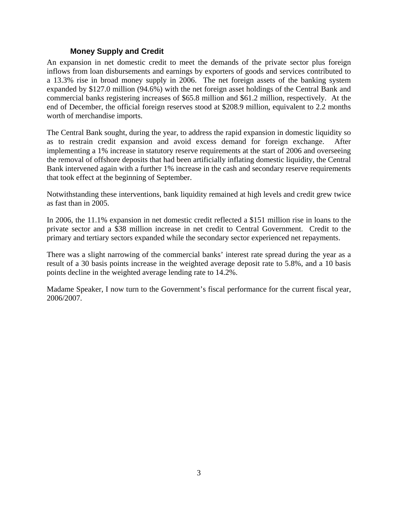## **Money Supply and Credit**

An expansion in net domestic credit to meet the demands of the private sector plus foreign inflows from loan disbursements and earnings by exporters of goods and services contributed to a 13.3% rise in broad money supply in 2006. The net foreign assets of the banking system expanded by \$127.0 million (94.6%) with the net foreign asset holdings of the Central Bank and commercial banks registering increases of \$65.8 million and \$61.2 million, respectively. At the end of December, the official foreign reserves stood at \$208.9 million, equivalent to 2.2 months worth of merchandise imports.

The Central Bank sought, during the year, to address the rapid expansion in domestic liquidity so as to restrain credit expansion and avoid excess demand for foreign exchange. After implementing a 1% increase in statutory reserve requirements at the start of 2006 and overseeing the removal of offshore deposits that had been artificially inflating domestic liquidity, the Central Bank intervened again with a further 1% increase in the cash and secondary reserve requirements that took effect at the beginning of September.

Notwithstanding these interventions, bank liquidity remained at high levels and credit grew twice as fast than in 2005.

In 2006, the 11.1% expansion in net domestic credit reflected a \$151 million rise in loans to the private sector and a \$38 million increase in net credit to Central Government. Credit to the primary and tertiary sectors expanded while the secondary sector experienced net repayments.

There was a slight narrowing of the commercial banks' interest rate spread during the year as a result of a 30 basis points increase in the weighted average deposit rate to 5.8%, and a 10 basis points decline in the weighted average lending rate to 14.2%.

Madame Speaker, I now turn to the Government's fiscal performance for the current fiscal year, 2006/2007.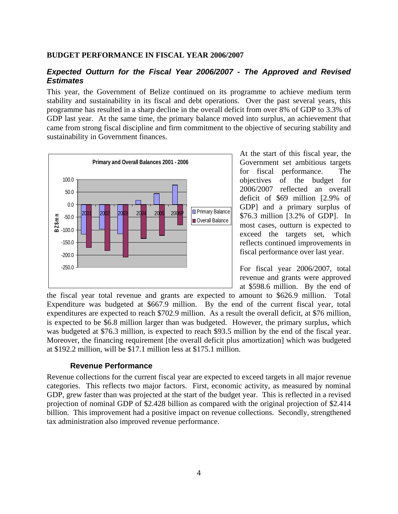#### **BUDGET PERFORMANCE IN FISCAL YEAR 2006/2007**

## *Expected Outturn for the Fiscal Year 2006/2007 - The Approved and Revised Estimates*

This year, the Government of Belize continued on its programme to achieve medium term stability and sustainability in its fiscal and debt operations. Over the past several years, this programme has resulted in a sharp decline in the overall deficit from over 8% of GDP to 3.3% of GDP last year. At the same time, the primary balance moved into surplus, an achievement that came from strong fiscal discipline and firm commitment to the objective of securing stability and sustainability in Government finances.



At the start of this fiscal year, the Government set ambitious targets for fiscal performance. The objectives of the budget for 2006/2007 reflected an overall deficit of \$69 million [2.9% of GDP] and a primary surplus of \$76.3 million [3.2% of GDP]. In most cases, outturn is expected to exceed the targets set, which reflects continued improvements in fiscal performance over last year.

For fiscal year 2006/2007, total revenue and grants were approved at \$598.6 million. By the end of

the fiscal year total revenue and grants are expected to amount to \$626.9 million. Total Expenditure was budgeted at \$667.9 million. By the end of the current fiscal year, total expenditures are expected to reach \$702.9 million. As a result the overall deficit, at \$76 million, is expected to be \$6.8 million larger than was budgeted. However, the primary surplus, which was budgeted at \$76.3 million, is expected to reach \$93.5 million by the end of the fiscal year. Moreover, the financing requirement [the overall deficit plus amortization] which was budgeted at \$192.2 million, will be \$17.1 million less at \$175.1 million.

#### **Revenue Performance**

Revenue collections for the current fiscal year are expected to exceed targets in all major revenue categories. This reflects two major factors. First, economic activity, as measured by nominal GDP, grew faster than was projected at the start of the budget year. This is reflected in a revised projection of nominal GDP of \$2.428 billion as compared with the original projection of \$2.414 billion. This improvement had a positive impact on revenue collections. Secondly, strengthened tax administration also improved revenue performance.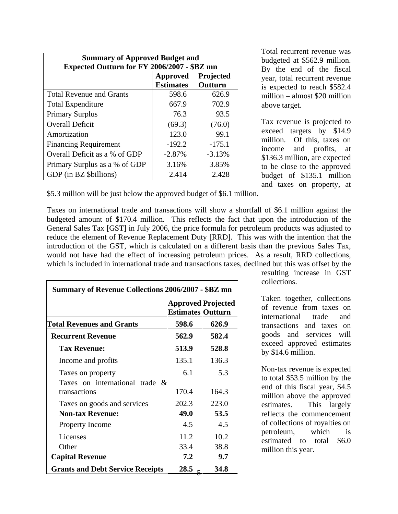| <b>Summary of Approved Budget and</b><br>Expected Outturn for FY 2006/2007 - \$BZ mn |          |          |  |
|--------------------------------------------------------------------------------------|----------|----------|--|
| Projected<br><b>Approved</b><br><b>Estimates</b><br>Outturn                          |          |          |  |
| <b>Total Revenue and Grants</b>                                                      | 598.6    | 626.9    |  |
| <b>Total Expenditure</b>                                                             | 667.9    | 702.9    |  |
| <b>Primary Surplus</b>                                                               | 76.3     | 93.5     |  |
| <b>Overall Deficit</b>                                                               | (69.3)   | (76.0)   |  |
| Amortization                                                                         | 123.0    | 99.1     |  |
| <b>Financing Requirement</b>                                                         | $-192.2$ | $-175.1$ |  |
| Overall Deficit as a % of GDP                                                        | $-2.87%$ | $-3.13%$ |  |
| Primary Surplus as a % of GDP                                                        | 3.16%    | 3.85%    |  |
| GDP (in BZ \$billions)                                                               | 2.414    | 2.428    |  |

Total recurrent revenue was budgeted at \$562.9 million. By the end of the fiscal year, total recurrent revenue is expected to reach \$582.4 million – almost \$20 million above target.

Tax revenue is projected to exceed targets by \$14.9 million. Of this, taxes on income and profits, at \$136.3 million, are expected to be close to the approved budget of \$135.1 million and taxes on property, at

\$5.3 million will be just below the approved budget of \$6.1 million.

Taxes on international trade and transactions will show a shortfall of \$6.1 million against the budgeted amount of \$170.4 million. This reflects the fact that upon the introduction of the General Sales Tax [GST] in July 2006, the price formula for petroleum products was adjusted to reduce the element of Revenue Replacement Duty [RRD]. This was with the intention that the introduction of the GST, which is calculated on a different basis than the previous Sales Tax, would not have had the effect of increasing petroleum prices. As a result, RRD collections, which is included in international trade and transactions taxes, declined but this was offset by the

| <b>Summary of Revenue Collections 2006/2007 - \$BZ mn</b>     |                                                       |       |  |  |
|---------------------------------------------------------------|-------------------------------------------------------|-------|--|--|
|                                                               | <b>Approved Projected</b><br><b>Estimates Outturn</b> |       |  |  |
| <b>Total Revenues and Grants</b>                              | 598.6                                                 | 626.9 |  |  |
| <b>Recurrent Revenue</b>                                      | 562.9<br>582.4                                        |       |  |  |
| <b>Tax Revenue:</b>                                           | 513.9                                                 | 528.8 |  |  |
| Income and profits                                            | 135.1                                                 | 136.3 |  |  |
| Taxes on property                                             | 6.1                                                   | 5.3   |  |  |
| Taxes on international trade<br>$\mathcal{X}$<br>transactions | 170.4                                                 | 164.3 |  |  |
| Taxes on goods and services                                   | 202.3                                                 | 223.0 |  |  |
| <b>Non-tax Revenue:</b>                                       | 49.0                                                  | 53.5  |  |  |
| <b>Property Income</b>                                        | 4.5                                                   | 4.5   |  |  |
| Licenses                                                      | 11.2                                                  | 10.2  |  |  |
| Other                                                         | 33.4                                                  | 38.8  |  |  |
| <b>Capital Revenue</b>                                        | 7.2                                                   | 9.7   |  |  |
| <b>Grants and Debt Service Receipts</b>                       | 28.5                                                  | 34.8  |  |  |

resulting increase in GST collections.

Taken together, collections of revenue from taxes on international trade and transactions and taxes on goods and services will exceed approved estimates by \$14.6 million.

Non-tax revenue is expected to total \$53.5 million by the end of this fiscal year, \$4.5 million above the approved estimates. This largely reflects the commencement of collections of royalties on petroleum, which is estimated to total \$6.0 million this year.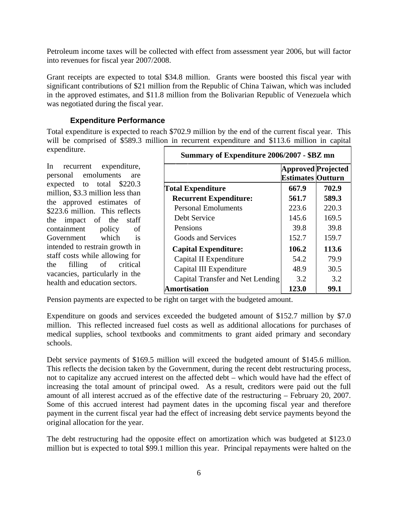Petroleum income taxes will be collected with effect from assessment year 2006, but will factor into revenues for fiscal year 2007/2008.

Grant receipts are expected to total \$34.8 million. Grants were boosted this fiscal year with significant contributions of \$21 million from the Republic of China Taiwan, which was included in the approved estimates, and \$11.8 million from the Bolivarian Republic of Venezuela which was negotiated during the fiscal year.

## **Expenditure Performance**

Total expenditure is expected to reach \$702.9 million by the end of the current fiscal year. This will be comprised of \$589.3 million in recurrent expenditure and \$113.6 million in capital expenditure.

In recurrent expenditure, personal emoluments are expected to total \$220.3 million, \$3.3 million less than the approved estimates of \$223.6 million. This reflects the impact of the staff containment policy of Government which is intended to restrain growth in staff costs while allowing for the filling of critical vacancies, particularly in the health and education sectors.

| Summary of Expenditure 2006/2007 - \$BZ mn |                                                       |       |  |  |
|--------------------------------------------|-------------------------------------------------------|-------|--|--|
|                                            | <b>Approved Projected</b><br><b>Estimates Outturn</b> |       |  |  |
| <b>Total Expenditure</b>                   | 667.9                                                 | 702.9 |  |  |
| <b>Recurrent Expenditure:</b>              | 561.7                                                 | 589.3 |  |  |
| <b>Personal Emoluments</b>                 | 223.6                                                 | 220.3 |  |  |
| Debt Service                               | 145.6                                                 | 169.5 |  |  |
| Pensions                                   | 39.8                                                  | 39.8  |  |  |
| Goods and Services                         | 152.7                                                 | 159.7 |  |  |
| <b>Capital Expenditure:</b>                | 106.2                                                 | 113.6 |  |  |
| Capital II Expenditure                     | 54.2                                                  | 79.9  |  |  |
| Capital III Expenditure                    | 48.9                                                  | 30.5  |  |  |
| Capital Transfer and Net Lending           | 3.2                                                   | 3.2   |  |  |
| <b>Amortisation</b>                        | 123.0                                                 | 99.1  |  |  |

Pension payments are expected to be right on target with the budgeted amount.

Expenditure on goods and services exceeded the budgeted amount of \$152.7 million by \$7.0 million. This reflected increased fuel costs as well as additional allocations for purchases of medical supplies, school textbooks and commitments to grant aided primary and secondary schools.

Debt service payments of \$169.5 million will exceed the budgeted amount of \$145.6 million. This reflects the decision taken by the Government, during the recent debt restructuring process, not to capitalize any accrued interest on the affected debt – which would have had the effect of increasing the total amount of principal owed. As a result, creditors were paid out the full amount of all interest accrued as of the effective date of the restructuring – February 20, 2007. Some of this accrued interest had payment dates in the upcoming fiscal year and therefore payment in the current fiscal year had the effect of increasing debt service payments beyond the original allocation for the year.

The debt restructuring had the opposite effect on amortization which was budgeted at \$123.0 million but is expected to total \$99.1 million this year. Principal repayments were halted on the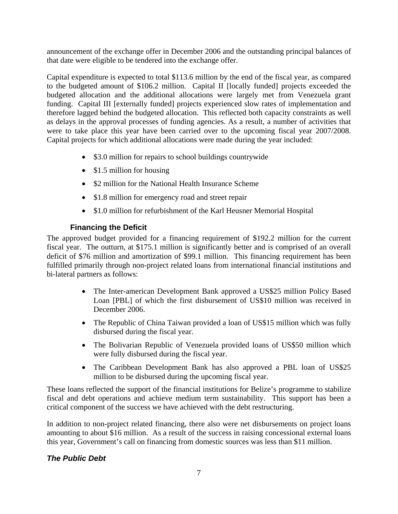announcement of the exchange offer in December 2006 and the outstanding principal balances of that date were eligible to be tendered into the exchange offer.

Capital expenditure is expected to total \$113.6 million by the end of the fiscal year, as compared to the budgeted amount of \$106.2 million. Capital II [locally funded] projects exceeded the budgeted allocation and the additional allocations were largely met from Venezuela grant funding. Capital III [externally funded] projects experienced slow rates of implementation and therefore lagged behind the budgeted allocation. This reflected both capacity constraints as well as delays in the approval processes of funding agencies. As a result, a number of activities that were to take place this year have been carried over to the upcoming fiscal year 2007/2008. Capital projects for which additional allocations were made during the year included:

- \$3.0 million for repairs to school buildings countrywide
- \$1.5 million for housing
- \$2 million for the National Health Insurance Scheme
- \$1.8 million for emergency road and street repair
- \$1.0 million for refurbishment of the Karl Heusner Memorial Hospital

## **Financing the Deficit**

The approved budget provided for a financing requirement of \$192.2 million for the current fiscal year. The outturn, at \$175.1 million is significantly better and is comprised of an overall deficit of \$76 million and amortization of \$99.1 million. This financing requirement has been fulfilled primarily through non-project related loans from international financial institutions and bi-lateral partners as follows:

- The Inter-american Development Bank approved a US\$25 million Policy Based Loan [PBL] of which the first disbursement of US\$10 million was received in December 2006.
- The Republic of China Taiwan provided a loan of US\$15 million which was fully disbursed during the fiscal year.
- The Bolivarian Republic of Venezuela provided loans of US\$50 million which were fully disbursed during the fiscal year.
- The Caribbean Development Bank has also approved a PBL loan of US\$25 million to be disbursed during the upcoming fiscal year.

These loans reflected the support of the financial institutions for Belize's programme to stabilize fiscal and debt operations and achieve medium term sustainability. This support has been a critical component of the success we have achieved with the debt restructuring.

In addition to non-project related financing, there also were net disbursements on project loans amounting to about \$16 million. As a result of the success in raising concessional external loans this year, Government's call on financing from domestic sources was less than \$11 million.

## *The Public Debt*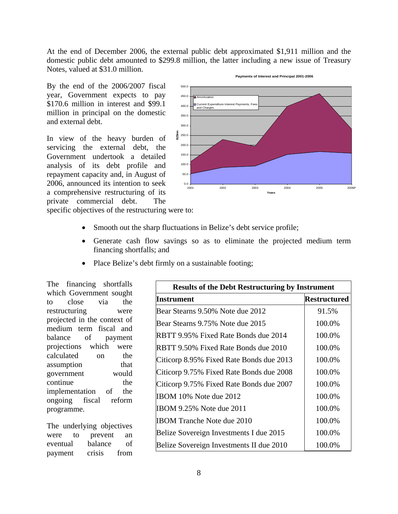At the end of December 2006, the external public debt approximated \$1,911 million and the domestic public debt amounted to \$299.8 million, the latter including a new issue of Treasury Notes, valued at \$31.0 million.

By the end of the 2006/2007 fiscal year, Government expects to pay \$170.6 million in interest and \$99.1 million in principal on the domestic and external debt.

In view of the heavy burden of servicing the external debt, the Government undertook a detailed analysis of its debt profile and repayment capacity and, in August of 2006, announced its intention to seek a comprehensive restructuring of its private commercial debt. The specific objectives of the restructuring were to:



#### **Payments of Interest and Principal 2001-2006**

- Smooth out the sharp fluctuations in Belize's debt service profile;
- Generate cash flow savings so as to eliminate the projected medium term financing shortfalls; and
- Place Belize's debt firmly on a sustainable footing;

The financing shortfalls which Government sought to close via the restructuring were projected in the context of medium term fiscal and balance of payment projections which were calculated on the assumption that government would continue the implementation of the ongoing fiscal reform programme.

The underlying objectives were to prevent an eventual balance of payment crisis from

| <b>Results of the Debt Restructuring by Instrument</b> |              |  |  |
|--------------------------------------------------------|--------------|--|--|
| Instrument                                             | Restructured |  |  |
| Bear Stearns 9.50% Note due 2012                       | 91.5%        |  |  |
| Bear Stearns 9.75% Note due 2015                       | 100.0%       |  |  |
| RBTT 9.95% Fixed Rate Bonds due 2014                   | 100.0%       |  |  |
| RBTT 9.50% Fixed Rate Bonds due 2010                   | 100.0%       |  |  |
| Citicorp 8.95% Fixed Rate Bonds due 2013               | 100.0%       |  |  |
| Citicorp 9.75% Fixed Rate Bonds due 2008               | 100.0%       |  |  |
| Citicorp 9.75% Fixed Rate Bonds due 2007               | 100.0%       |  |  |
| IBOM 10% Note due 2012                                 | 100.0%       |  |  |
| <b>IBOM 9.25% Note due 2011</b>                        | 100.0%       |  |  |
| IBOM Tranche Note due 2010                             | 100.0%       |  |  |
| Belize Sovereign Investments I due 2015                | 100.0%       |  |  |
| Belize Sovereign Investments II due 2010               | 100.0%       |  |  |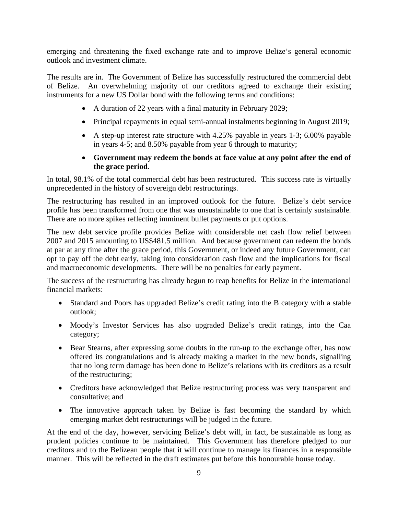emerging and threatening the fixed exchange rate and to improve Belize's general economic outlook and investment climate.

The results are in. The Government of Belize has successfully restructured the commercial debt of Belize. An overwhelming majority of our creditors agreed to exchange their existing instruments for a new US Dollar bond with the following terms and conditions:

- A duration of 22 years with a final maturity in February 2029;
- Principal repayments in equal semi-annual instalments beginning in August 2019;
- A step-up interest rate structure with 4.25% payable in years 1-3; 6.00% payable in years 4-5; and 8.50% payable from year 6 through to maturity;
- **Government may redeem the bonds at face value at any point after the end of the grace period**.

In total, 98.1% of the total commercial debt has been restructured. This success rate is virtually unprecedented in the history of sovereign debt restructurings.

The restructuring has resulted in an improved outlook for the future. Belize's debt service profile has been transformed from one that was unsustainable to one that is certainly sustainable. There are no more spikes reflecting imminent bullet payments or put options.

The new debt service profile provides Belize with considerable net cash flow relief between 2007 and 2015 amounting to US\$481.5 million. And because government can redeem the bonds at par at any time after the grace period, this Government, or indeed any future Government, can opt to pay off the debt early, taking into consideration cash flow and the implications for fiscal and macroeconomic developments. There will be no penalties for early payment.

The success of the restructuring has already begun to reap benefits for Belize in the international financial markets:

- Standard and Poors has upgraded Belize's credit rating into the B category with a stable outlook;
- Moody's Investor Services has also upgraded Belize's credit ratings, into the Caa category;
- Bear Stearns, after expressing some doubts in the run-up to the exchange offer, has now offered its congratulations and is already making a market in the new bonds, signalling that no long term damage has been done to Belize's relations with its creditors as a result of the restructuring;
- Creditors have acknowledged that Belize restructuring process was very transparent and consultative; and
- The innovative approach taken by Belize is fast becoming the standard by which emerging market debt restructurings will be judged in the future.

At the end of the day, however, servicing Belize's debt will, in fact, be sustainable as long as prudent policies continue to be maintained. This Government has therefore pledged to our creditors and to the Belizean people that it will continue to manage its finances in a responsible manner. This will be reflected in the draft estimates put before this honourable house today.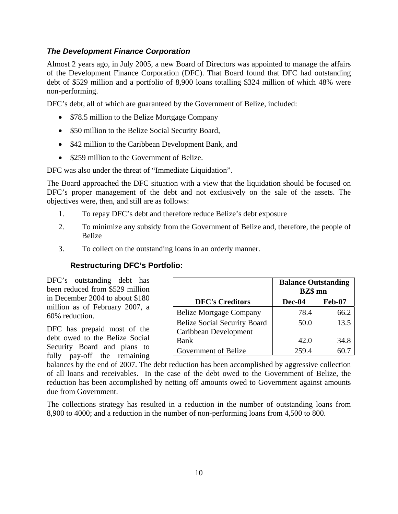## *The Development Finance Corporation*

Almost 2 years ago, in July 2005, a new Board of Directors was appointed to manage the affairs of the Development Finance Corporation (DFC). That Board found that DFC had outstanding debt of \$529 million and a portfolio of 8,900 loans totalling \$324 million of which 48% were non-performing.

DFC's debt, all of which are guaranteed by the Government of Belize, included:

- \$78.5 million to the Belize Mortgage Company
- \$50 million to the Belize Social Security Board,
- \$42 million to the Caribbean Development Bank, and
- \$259 million to the Government of Belize.

DFC was also under the threat of "Immediate Liquidation".

The Board approached the DFC situation with a view that the liquidation should be focused on DFC's proper management of the debt and not exclusively on the sale of the assets. The objectives were, then, and still are as follows:

- 1. To repay DFC's debt and therefore reduce Belize's debt exposure
- 2. To minimize any subsidy from the Government of Belize and, therefore, the people of Belize
- 3. To collect on the outstanding loans in an orderly manner.

## **Restructuring DFC's Portfolio:**

DFC's outstanding debt has been reduced from \$529 million in December 2004 to about \$180 million as of February 2007, a 60% reduction.

DFC has prepaid most of the debt owed to the Belize Social Security Board and plans to fully pay-off the remaining

|                                     | <b>Balance Outstanding</b><br><b>BZ\$</b> mn |      |  |  |
|-------------------------------------|----------------------------------------------|------|--|--|
| <b>DFC's Creditors</b>              | <b>Dec-04</b><br><b>Feb-07</b>               |      |  |  |
| <b>Belize Mortgage Company</b>      | 78.4                                         | 66.2 |  |  |
| <b>Belize Social Security Board</b> | 13.5<br>50.0                                 |      |  |  |
| Caribbean Development               |                                              |      |  |  |
| Bank                                | 42.0                                         | 34.8 |  |  |
| Government of Belize                | 259.4                                        |      |  |  |

balances by the end of 2007. The debt reduction has been accomplished by aggressive collection of all loans and receivables. In the case of the debt owed to the Government of Belize, the reduction has been accomplished by netting off amounts owed to Government against amounts due from Government.

The collections strategy has resulted in a reduction in the number of outstanding loans from 8,900 to 4000; and a reduction in the number of non-performing loans from 4,500 to 800.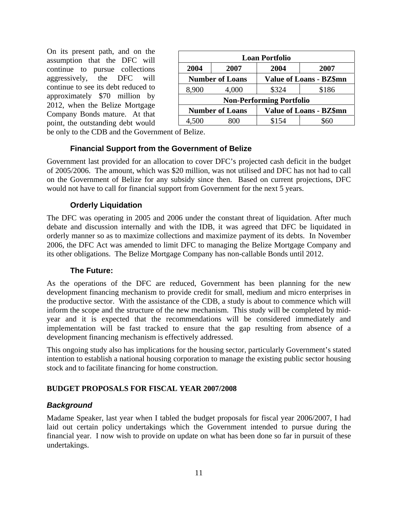On its present path, and on the assumption that the DFC will continue to pursue collections aggressively, the DFC will continue to see its debt reduced to approximately \$70 million by 2012, when the Belize Mortgage Company Bonds mature. At that point, the outstanding debt would

| <b>Loan Portfolio</b>                                    |                                                          |       |       |  |  |
|----------------------------------------------------------|----------------------------------------------------------|-------|-------|--|--|
| 2004                                                     | 2007                                                     | 2004  | 2007  |  |  |
|                                                          | <b>Value of Loans - BZ\$mn</b><br><b>Number of Loans</b> |       |       |  |  |
| 8,900                                                    | 4,000                                                    | \$324 | \$186 |  |  |
|                                                          | <b>Non-Performing Portfolio</b>                          |       |       |  |  |
| <b>Value of Loans - BZ\$mn</b><br><b>Number of Loans</b> |                                                          |       |       |  |  |
| 4.500                                                    |                                                          | \$154 |       |  |  |

be only to the CDB and the Government of Belize.

## **Financial Support from the Government of Belize**

Government last provided for an allocation to cover DFC's projected cash deficit in the budget of 2005/2006. The amount, which was \$20 million, was not utilised and DFC has not had to call on the Government of Belize for any subsidy since then. Based on current projections, DFC would not have to call for financial support from Government for the next 5 years.

## **Orderly Liquidation**

The DFC was operating in 2005 and 2006 under the constant threat of liquidation. After much debate and discussion internally and with the IDB, it was agreed that DFC be liquidated in orderly manner so as to maximize collections and maximize payment of its debts. In November 2006, the DFC Act was amended to limit DFC to managing the Belize Mortgage Company and its other obligations. The Belize Mortgage Company has non-callable Bonds until 2012.

#### **The Future:**

As the operations of the DFC are reduced, Government has been planning for the new development financing mechanism to provide credit for small, medium and micro enterprises in the productive sector. With the assistance of the CDB, a study is about to commence which will inform the scope and the structure of the new mechanism. This study will be completed by midyear and it is expected that the recommendations will be considered immediately and implementation will be fast tracked to ensure that the gap resulting from absence of a development financing mechanism is effectively addressed.

This ongoing study also has implications for the housing sector, particularly Government's stated intention to establish a national housing corporation to manage the existing public sector housing stock and to facilitate financing for home construction.

#### **BUDGET PROPOSALS FOR FISCAL YEAR 2007/2008**

#### *Background*

Madame Speaker, last year when I tabled the budget proposals for fiscal year 2006/2007, I had laid out certain policy undertakings which the Government intended to pursue during the financial year. I now wish to provide on update on what has been done so far in pursuit of these undertakings.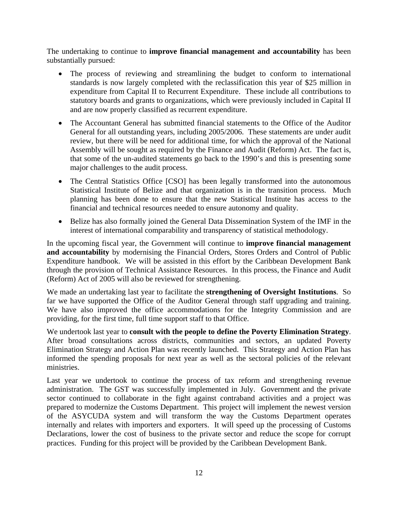The undertaking to continue to **improve financial management and accountability** has been substantially pursued:

- The process of reviewing and streamlining the budget to conform to international standards is now largely completed with the reclassification this year of \$25 million in expenditure from Capital II to Recurrent Expenditure. These include all contributions to statutory boards and grants to organizations, which were previously included in Capital II and are now properly classified as recurrent expenditure.
- The Accountant General has submitted financial statements to the Office of the Auditor General for all outstanding years, including 2005/2006. These statements are under audit review, but there will be need for additional time, for which the approval of the National Assembly will be sought as required by the Finance and Audit (Reform) Act. The fact is, that some of the un-audited statements go back to the 1990's and this is presenting some major challenges to the audit process.
- The Central Statistics Office [CSO] has been legally transformed into the autonomous Statistical Institute of Belize and that organization is in the transition process. Much planning has been done to ensure that the new Statistical Institute has access to the financial and technical resources needed to ensure autonomy and quality.
- Belize has also formally joined the General Data Dissemination System of the IMF in the interest of international comparability and transparency of statistical methodology.

In the upcoming fiscal year, the Government will continue to **improve financial management and accountability** by modernising the Financial Orders, Stores Orders and Control of Public Expenditure handbook. We will be assisted in this effort by the Caribbean Development Bank through the provision of Technical Assistance Resources. In this process, the Finance and Audit (Reform) Act of 2005 will also be reviewed for strengthening.

We made an undertaking last year to facilitate the **strengthening of Oversight Institutions**. So far we have supported the Office of the Auditor General through staff upgrading and training. We have also improved the office accommodations for the Integrity Commission and are providing, for the first time, full time support staff to that Office.

We undertook last year to **consult with the people to define the Poverty Elimination Strategy**. After broad consultations across districts, communities and sectors, an updated Poverty Elimination Strategy and Action Plan was recently launched. This Strategy and Action Plan has informed the spending proposals for next year as well as the sectoral policies of the relevant ministries.

Last year we undertook to continue the process of tax reform and strengthening revenue administration. The GST was successfully implemented in July. Government and the private sector continued to collaborate in the fight against contraband activities and a project was prepared to modernize the Customs Department. This project will implement the newest version of the ASYCUDA system and will transform the way the Customs Department operates internally and relates with importers and exporters. It will speed up the processing of Customs Declarations, lower the cost of business to the private sector and reduce the scope for corrupt practices. Funding for this project will be provided by the Caribbean Development Bank.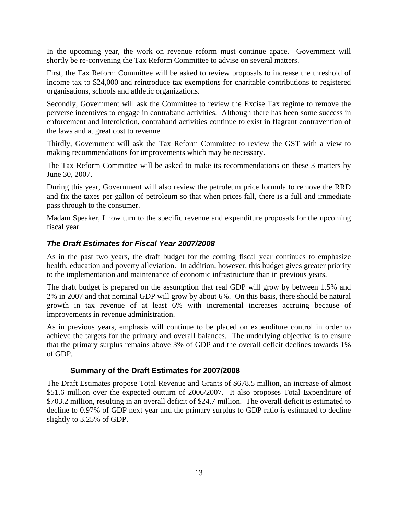In the upcoming year, the work on revenue reform must continue apace. Government will shortly be re-convening the Tax Reform Committee to advise on several matters.

First, the Tax Reform Committee will be asked to review proposals to increase the threshold of income tax to \$24,000 and reintroduce tax exemptions for charitable contributions to registered organisations, schools and athletic organizations.

Secondly, Government will ask the Committee to review the Excise Tax regime to remove the perverse incentives to engage in contraband activities. Although there has been some success in enforcement and interdiction, contraband activities continue to exist in flagrant contravention of the laws and at great cost to revenue.

Thirdly, Government will ask the Tax Reform Committee to review the GST with a view to making recommendations for improvements which may be necessary.

The Tax Reform Committee will be asked to make its recommendations on these 3 matters by June 30, 2007.

During this year, Government will also review the petroleum price formula to remove the RRD and fix the taxes per gallon of petroleum so that when prices fall, there is a full and immediate pass through to the consumer.

Madam Speaker, I now turn to the specific revenue and expenditure proposals for the upcoming fiscal year.

## *The Draft Estimates for Fiscal Year 2007/2008*

As in the past two years, the draft budget for the coming fiscal year continues to emphasize health, education and poverty alleviation. In addition, however, this budget gives greater priority to the implementation and maintenance of economic infrastructure than in previous years.

The draft budget is prepared on the assumption that real GDP will grow by between 1.5% and 2% in 2007 and that nominal GDP will grow by about 6%. On this basis, there should be natural growth in tax revenue of at least 6% with incremental increases accruing because of improvements in revenue administration.

As in previous years, emphasis will continue to be placed on expenditure control in order to achieve the targets for the primary and overall balances. The underlying objective is to ensure that the primary surplus remains above 3% of GDP and the overall deficit declines towards 1% of GDP.

## **Summary of the Draft Estimates for 2007/2008**

The Draft Estimates propose Total Revenue and Grants of \$678.5 million, an increase of almost \$51.6 million over the expected outturn of 2006/2007. It also proposes Total Expenditure of \$703.2 million, resulting in an overall deficit of \$24.7 million. The overall deficit is estimated to decline to 0.97% of GDP next year and the primary surplus to GDP ratio is estimated to decline slightly to 3.25% of GDP.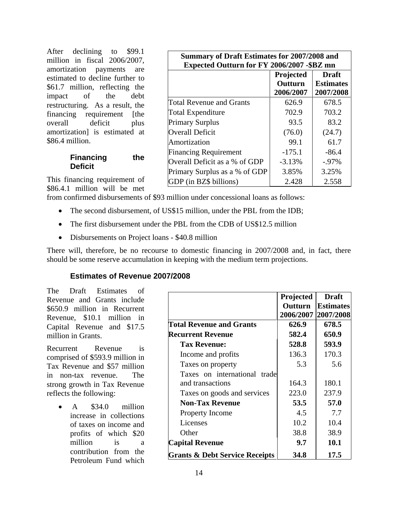After declining to \$99.1 million in fiscal 2006/2007, amortization payments are estimated to decline further to \$61.7 million, reflecting the impact of the debt restructuring. As a result, the financing requirement [the overall deficit plus amortization] is estimated at \$86.4 million.

## **Financing the Deficit**

| <b>Summary of Draft Estimates for 2007/2008 and</b> |                           |                  |  |  |  |  |
|-----------------------------------------------------|---------------------------|------------------|--|--|--|--|
| Expected Outturn for FY 2006/2007 - \$BZ mn         |                           |                  |  |  |  |  |
|                                                     | Projected<br><b>Draft</b> |                  |  |  |  |  |
|                                                     | Outturn                   | <b>Estimates</b> |  |  |  |  |
|                                                     | 2006/2007                 | 2007/2008        |  |  |  |  |
| <b>Total Revenue and Grants</b>                     | 626.9                     | 678.5            |  |  |  |  |
| <b>Total Expenditure</b>                            | 702.9                     | 703.2            |  |  |  |  |
| <b>Primary Surplus</b>                              | 93.5                      | 83.2             |  |  |  |  |
| <b>Overall Deficit</b>                              | (76.0)                    | (24.7)           |  |  |  |  |
| Amortization                                        | 99.1                      | 61.7             |  |  |  |  |
| <b>Financing Requirement</b>                        | $-175.1$                  | $-86.4$          |  |  |  |  |
| Overall Deficit as a % of GDP                       | $-3.13%$                  | $-0.97\%$        |  |  |  |  |
| Primary Surplus as a % of GDP                       | 3.85%                     | 3.25%            |  |  |  |  |
| GDP (in BZ\$ billions)                              | 2.428                     | 2.558            |  |  |  |  |

This financing requirement of \$86.4.1 million will be met

from confirmed disbursements of \$93 million under concessional loans as follows:

- The second disbursement, of US\$15 million, under the PBL from the IDB;
- The first disbursement under the PBL from the CDB of US\$12.5 million
- Disbursements on Project loans \$40.8 million

There will, therefore, be no recourse to domestic financing in 2007/2008 and, in fact, there should be some reserve accumulation in keeping with the medium term projections.

#### **Estimates of Revenue 2007/2008**

The Draft Estimates of Revenue and Grants include \$650.9 million in Recurrent Revenue, \$10.1 million in Capital Revenue and \$17.5 million in Grants.

Recurrent Revenue is comprised of \$593.9 million in Tax Revenue and \$57 million in non-tax revenue. The strong growth in Tax Revenue reflects the following:

> • A \$34.0 million increase in collections of taxes on income and profits of which \$20 million is a contribution from the Petroleum Fund which

|                                           | Projected<br>Outturn<br>2006/2007 | <b>Draft</b><br><b>Estimates</b><br>2007/2008 |
|-------------------------------------------|-----------------------------------|-----------------------------------------------|
| <b>Total Revenue and Grants</b>           | 626.9                             | 678.5                                         |
| <b>Recurrent Revenue</b>                  | 582.4                             | 650.9                                         |
| <b>Tax Revenue:</b>                       | 528.8                             | 593.9                                         |
| Income and profits                        | 136.3                             | 170.3                                         |
| Taxes on property                         | 5.3                               | 5.6                                           |
| Taxes on international trade              |                                   |                                               |
| and transactions                          | 164.3                             | 180.1                                         |
| Taxes on goods and services               | 223.0                             | 237.9                                         |
| <b>Non-Tax Revenue</b>                    | 53.5                              | 57.0                                          |
| <b>Property Income</b>                    | 4.5                               | 7.7                                           |
| Licenses                                  | 10.2                              | 10.4                                          |
| Other                                     | 38.8                              | 38.9                                          |
| Capital Revenue                           | 9.7                               | 10.1                                          |
| <b>Grants &amp; Debt Service Receipts</b> | 34.8                              | 17.5                                          |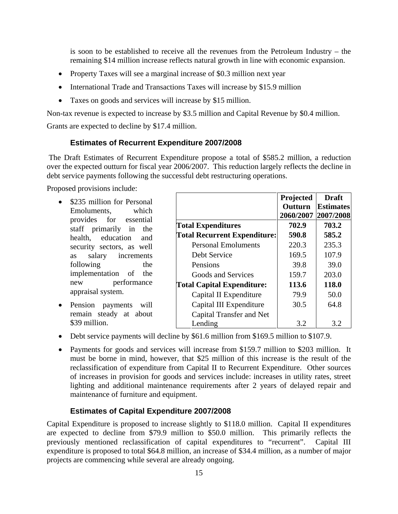is soon to be established to receive all the revenues from the Petroleum Industry – the remaining \$14 million increase reflects natural growth in line with economic expansion.

- Property Taxes will see a marginal increase of \$0.3 million next year
- International Trade and Transactions Taxes will increase by \$15.9 million
- Taxes on goods and services will increase by \$15 million.

Non-tax revenue is expected to increase by \$3.5 million and Capital Revenue by \$0.4 million.

Grants are expected to decline by \$17.4 million.

#### **Estimates of Recurrent Expenditure 2007/2008**

 The Draft Estimates of Recurrent Expenditure propose a total of \$585.2 million, a reduction over the expected outturn for fiscal year 2006/2007. This reduction largely reflects the decline in debt service payments following the successful debt restructuring operations.

Proposed provisions include:

- \$235 million for Personal Emoluments, which provides for essential staff primarily in the health, education and security sectors, as well as salary increments following the implementation of the new performance appraisal system.
- Pension payments will remain steady at about \$39 million.

|                                     | Projected<br>Outturn<br>2060/2007 | <b>Draft</b><br><b>Estimates</b><br>2007/2008 |
|-------------------------------------|-----------------------------------|-----------------------------------------------|
| <b>Total Expenditures</b>           | 702.9                             | 703.2                                         |
| <b>Total Recurrent Expenditure:</b> | 590.8                             | 585.2                                         |
| <b>Personal Emoluments</b>          | 220.3                             | 235.3                                         |
| Debt Service                        | 169.5                             | 107.9                                         |
| Pensions                            | 39.8                              | 39.0                                          |
| Goods and Services                  | 159.7                             | 203.0                                         |
| <b>Total Capital Expenditure:</b>   | 113.6                             | 118.0                                         |
| Capital II Expenditure              | 79.9                              | 50.0                                          |
| Capital III Expenditure             | 30.5                              | 64.8                                          |
| Capital Transfer and Net            |                                   |                                               |
| Lending                             | 3.2                               | 3.2                                           |

- Debt service payments will decline by \$61.6 million from \$169.5 million to \$107.9.
- Payments for goods and services will increase from \$159.7 million to \$203 million. It must be borne in mind, however, that \$25 million of this increase is the result of the reclassification of expenditure from Capital II to Recurrent Expenditure. Other sources of increases in provision for goods and services include: increases in utility rates, street lighting and additional maintenance requirements after 2 years of delayed repair and maintenance of furniture and equipment.

#### **Estimates of Capital Expenditure 2007/2008**

Capital Expenditure is proposed to increase slightly to \$118.0 million. Capital II expenditures are expected to decline from \$79.9 million to \$50.0 million. This primarily reflects the previously mentioned reclassification of capital expenditures to "recurrent". Capital III expenditure is proposed to total \$64.8 million, an increase of \$34.4 million, as a number of major projects are commencing while several are already ongoing.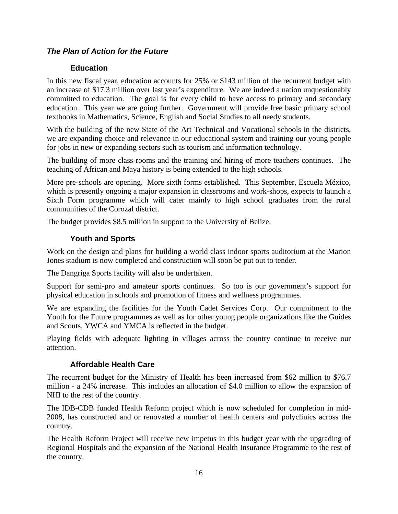## *The Plan of Action for the Future*

## **Education**

In this new fiscal year, education accounts for 25% or \$143 million of the recurrent budget with an increase of \$17.3 million over last year's expenditure. We are indeed a nation unquestionably committed to education. The goal is for every child to have access to primary and secondary education. This year we are going further. Government will provide free basic primary school textbooks in Mathematics, Science, English and Social Studies to all needy students.

With the building of the new State of the Art Technical and Vocational schools in the districts, we are expanding choice and relevance in our educational system and training our young people for jobs in new or expanding sectors such as tourism and information technology.

The building of more class-rooms and the training and hiring of more teachers continues. The teaching of African and Maya history is being extended to the high schools.

More pre-schools are opening. More sixth forms established. This September, Escuela México, which is presently ongoing a major expansion in classrooms and work-shops, expects to launch a Sixth Form programme which will cater mainly to high school graduates from the rural communities of the Corozal district.

The budget provides \$8.5 million in support to the University of Belize.

## **Youth and Sports**

Work on the design and plans for building a world class indoor sports auditorium at the Marion Jones stadium is now completed and construction will soon be put out to tender.

The Dangriga Sports facility will also be undertaken.

Support for semi-pro and amateur sports continues. So too is our government's support for physical education in schools and promotion of fitness and wellness programmes.

We are expanding the facilities for the Youth Cadet Services Corp. Our commitment to the Youth for the Future programmes as well as for other young people organizations like the Guides and Scouts, YWCA and YMCA is reflected in the budget.

Playing fields with adequate lighting in villages across the country continue to receive our attention.

## **Affordable Health Care**

The recurrent budget for the Ministry of Health has been increased from \$62 million to \$76.7 million - a 24% increase. This includes an allocation of \$4.0 million to allow the expansion of NHI to the rest of the country.

The IDB-CDB funded Health Reform project which is now scheduled for completion in mid-2008, has constructed and or renovated a number of health centers and polyclinics across the country.

The Health Reform Project will receive new impetus in this budget year with the upgrading of Regional Hospitals and the expansion of the National Health Insurance Programme to the rest of the country.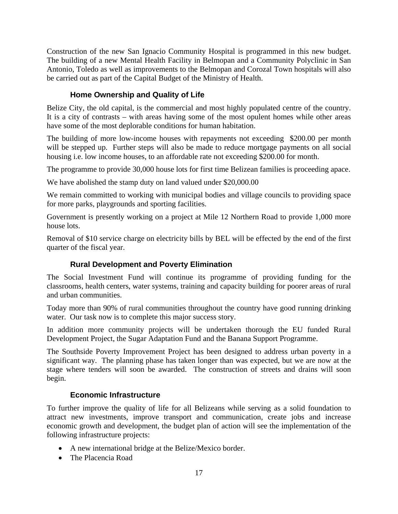Construction of the new San Ignacio Community Hospital is programmed in this new budget. The building of a new Mental Health Facility in Belmopan and a Community Polyclinic in San Antonio, Toledo as well as improvements to the Belmopan and Corozal Town hospitals will also be carried out as part of the Capital Budget of the Ministry of Health.

## **Home Ownership and Quality of Life**

Belize City, the old capital, is the commercial and most highly populated centre of the country. It is a city of contrasts – with areas having some of the most opulent homes while other areas have some of the most deplorable conditions for human habitation.

The building of more low-income houses with repayments not exceeding \$200.00 per month will be stepped up. Further steps will also be made to reduce mortgage payments on all social housing i.e. low income houses, to an affordable rate not exceeding \$200.00 for month.

The programme to provide 30,000 house lots for first time Belizean families is proceeding apace.

We have abolished the stamp duty on land valued under \$20,000.00

We remain committed to working with municipal bodies and village councils to providing space for more parks, playgrounds and sporting facilities.

Government is presently working on a project at Mile 12 Northern Road to provide 1,000 more house lots.

Removal of \$10 service charge on electricity bills by BEL will be effected by the end of the first quarter of the fiscal year.

## **Rural Development and Poverty Elimination**

The Social Investment Fund will continue its programme of providing funding for the classrooms, health centers, water systems, training and capacity building for poorer areas of rural and urban communities.

Today more than 90% of rural communities throughout the country have good running drinking water. Our task now is to complete this major success story.

In addition more community projects will be undertaken thorough the EU funded Rural Development Project, the Sugar Adaptation Fund and the Banana Support Programme.

The Southside Poverty Improvement Project has been designed to address urban poverty in a significant way. The planning phase has taken longer than was expected, but we are now at the stage where tenders will soon be awarded. The construction of streets and drains will soon begin.

## **Economic Infrastructure**

To further improve the quality of life for all Belizeans while serving as a solid foundation to attract new investments, improve transport and communication, create jobs and increase economic growth and development, the budget plan of action will see the implementation of the following infrastructure projects:

- A new international bridge at the Belize/Mexico border.
- The Placencia Road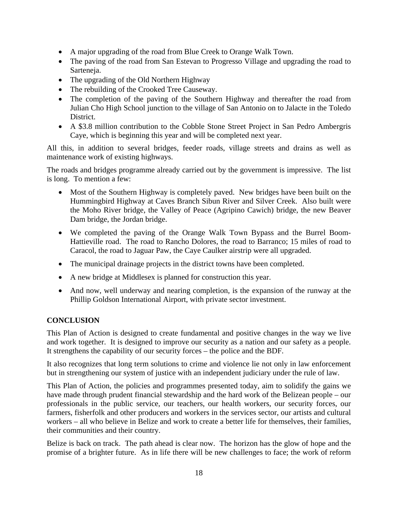- A major upgrading of the road from Blue Creek to Orange Walk Town.
- The paving of the road from San Estevan to Progresso Village and upgrading the road to Sarteneja.
- The upgrading of the Old Northern Highway
- The rebuilding of the Crooked Tree Causeway.
- The completion of the paving of the Southern Highway and thereafter the road from Julian Cho High School junction to the village of San Antonio on to Jalacte in the Toledo District.
- A \$3.8 million contribution to the Cobble Stone Street Project in San Pedro Ambergris Caye, which is beginning this year and will be completed next year.

All this, in addition to several bridges, feeder roads, village streets and drains as well as maintenance work of existing highways.

The roads and bridges programme already carried out by the government is impressive. The list is long. To mention a few:

- Most of the Southern Highway is completely paved. New bridges have been built on the Hummingbird Highway at Caves Branch Sibun River and Silver Creek. Also built were the Moho River bridge, the Valley of Peace (Agripino Cawich) bridge, the new Beaver Dam bridge, the Jordan bridge.
- We completed the paving of the Orange Walk Town Bypass and the Burrel Boom-Hattieville road. The road to Rancho Dolores, the road to Barranco; 15 miles of road to Caracol, the road to Jaguar Paw, the Caye Caulker airstrip were all upgraded.
- The municipal drainage projects in the district towns have been completed.
- A new bridge at Middlesex is planned for construction this year.
- And now, well underway and nearing completion, is the expansion of the runway at the Phillip Goldson International Airport, with private sector investment.

## **CONCLUSION**

This Plan of Action is designed to create fundamental and positive changes in the way we live and work together. It is designed to improve our security as a nation and our safety as a people. It strengthens the capability of our security forces – the police and the BDF.

It also recognizes that long term solutions to crime and violence lie not only in law enforcement but in strengthening our system of justice with an independent judiciary under the rule of law.

This Plan of Action, the policies and programmes presented today, aim to solidify the gains we have made through prudent financial stewardship and the hard work of the Belizean people – our professionals in the public service, our teachers, our health workers, our security forces, our farmers, fisherfolk and other producers and workers in the services sector, our artists and cultural workers – all who believe in Belize and work to create a better life for themselves, their families, their communities and their country.

Belize is back on track. The path ahead is clear now. The horizon has the glow of hope and the promise of a brighter future. As in life there will be new challenges to face; the work of reform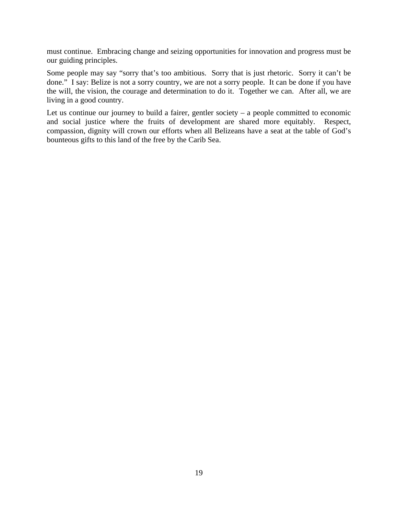must continue. Embracing change and seizing opportunities for innovation and progress must be our guiding principles.

Some people may say "sorry that's too ambitious. Sorry that is just rhetoric. Sorry it can't be done." I say: Belize is not a sorry country, we are not a sorry people. It can be done if you have the will, the vision, the courage and determination to do it. Together we can. After all, we are living in a good country.

Let us continue our journey to build a fairer, gentler society – a people committed to economic and social justice where the fruits of development are shared more equitably. Respect, compassion, dignity will crown our efforts when all Belizeans have a seat at the table of God's bounteous gifts to this land of the free by the Carib Sea.